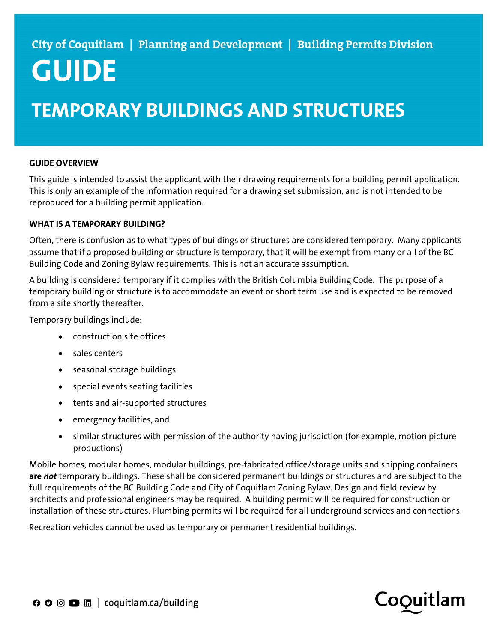# GUIDE

# TEMPORARY BUILDINGS AND STRUCTURES

# GUIDE OVERVIEW

This guide is intended to assist the applicant with their drawing requirements for a building permit application. This is only an example of the information required for a drawing set submission, and is not intended to be reproduced for a building permit application.

## WHAT IS A TEMPORARY BUILDING?

Often, there is confusion as to what types of buildings or structures are considered temporary. Many applicants assume that if a proposed building or structure is temporary, that it will be exempt from many or all of the BC Building Code and Zoning Bylaw requirements. This is not an accurate assumption.

A building is considered temporary if it complies with the British Columbia Building Code. The purpose of a temporary building or structure is to accommodate an event or short term use and is expected to be removed from a site shortly thereafter.

Temporary buildings include:

- construction site offices
- sales centers
- seasonal storage buildings
- special events seating facilities
- tents and air-supported structures
- emergency facilities, and
- similar structures with permission of the authority having jurisdiction (for example, motion picture productions)

Mobile homes, modular homes, modular buildings, pre-fabricated office/storage units and shipping containers are not temporary buildings. These shall be considered permanent buildings or structures and are subject to the full requirements of the BC Building Code and City of Coquitlam Zoning Bylaw. Design and field review by architects and professional engineers may be required. A building permit will be required for construction or installation of these structures. Plumbing permits will be required for all underground services and connections.

Recreation vehicles cannot be used as temporary or permanent residential buildings.

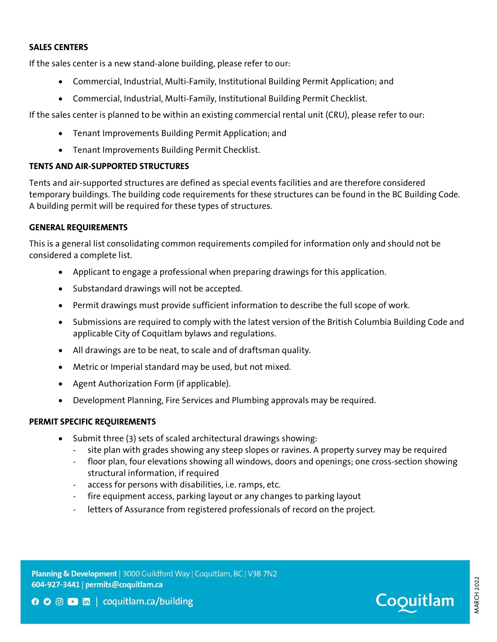#### SALES CENTERS

If the sales center is a new stand-alone building, please refer to our:

- Commercial, Industrial, Multi-Family, Institutional Building Permit Application; and
- Commercial, Industrial, Multi-Family, Institutional Building Permit Checklist.

If the sales center is planned to be within an existing commercial rental unit (CRU), please refer to our:

- Tenant Improvements Building Permit Application; and
- Tenant Improvements Building Permit Checklist.

# TENTS AND AIR-SUPPORTED STRUCTURES

Tents and air-supported structures are defined as special events facilities and are therefore considered temporary buildings. The building code requirements for these structures can be found in the BC Building Code. A building permit will be required for these types of structures.

## GENERAL REQUIREMENTS

This is a general list consolidating common requirements compiled for information only and should not be considered a complete list.

- Applicant to engage a professional when preparing drawings for this application.
- Substandard drawings will not be accepted.
- Permit drawings must provide sufficient information to describe the full scope of work.
- Submissions are required to comply with the latest version of the British Columbia Building Code and applicable City of Coquitlam bylaws and regulations.
- All drawings are to be neat, to scale and of draftsman quality.
- Metric or Imperial standard may be used, but not mixed.
- Agent Authorization Form (if applicable).
- Development Planning, Fire Services and Plumbing approvals may be required.

## PERMIT SPECIFIC REQUIREMENTS

- Submit three (3) sets of scaled architectural drawings showing:
	- site plan with grades showing any steep slopes or ravines. A property survey may be required
	- floor plan, four elevations showing all windows, doors and openings; one cross-section showing structural information, if required
	- access for persons with disabilities, i.e. ramps, etc.
	- fire equipment access, parking layout or any changes to parking layout
	- letters of Assurance from registered professionals of record on the project.